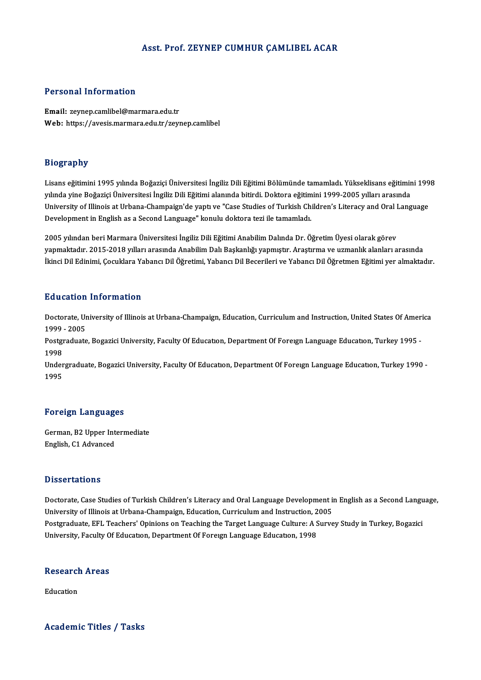#### Asst. Prof. ZEYNEP CUMHUR ÇAMLIBEL ACAR

#### Personal Information

Email: zeynep.camlibel@marmara.edu.tr Web: https://avesis.marmara.edu.tr/zeynep.camlibel

#### Biography

Biography<br>Lisans eğitimini 1995 yılında Boğaziçi Üniversitesi İngiliz Dili Eğitimi Bölümünde tamamladı. Yükseklisans eğitimini 1998<br>yılında vine Boğaziçi Üniversitesi İngiliz Dili Eğitimi alanında bitirdi. Dektora eğitimin yılışılıpı.<br>Lisans eğitimini 1995 yılında Boğaziçi Üniversitesi İngiliz Dili Eğitimi Bölümünde tamamladı. Yükseklisans eğitimir<br>Yılında yine Boğaziçi Üniversitesi İngiliz Dili Eğitimi alanında bitirdi. Doktora eğitimini 19 Lisans eğitimini 1995 yılında Boğaziçi Üniversitesi İngiliz Dili Eğitimi Bölümünde tamamladı. Yükseklisans eğitimini 199<br>yılında yine Boğaziçi Üniversitesi İngiliz Dili Eğitimi alanında bitirdi. Doktora eğitimini 1999-2005 yılında yine Boğaziçi Üniversitesi İngiliz Dili Eğitimi alanında bitirdi. Doktora eğitim<br>University of Illinois at Urbana-Champaign'de yaptı ve "Case Studies of Turkish Ch<br>Development in English as a Second Language" konul Development in English as a Second Language" konulu doktora tezi ile tamamladı.<br>2005 yılından beri Marmara Üniversitesi İngiliz Dili Eğitimi Anabilim Dalında Dr. Öğretim Üyesi olarak görev

yapmaktadır. 2015-2018 yılları arasında Anabilim Dalı Başkanlığı yapmıştır. Araştırma ve uzmanlık alanları arasında İkinci Dil Edinimi, Çocuklara Yabancı Dil Öğretimi, Yabancı Dil Becerileri ve Yabancı Dil Öğretmen Eğitimi yer almaktadır.

#### Education Information

Education Information<br>Doctorate, University of Illinois at Urbana-Champaign, Education, Curriculum and Instruction, United States Of America<br>1999 - 3995 nducation<br>1999 - 2005<br>Postsueducts Doctorate, University of Illinois at Urbana-Champaign, Education, Curriculum and Instruction, United States Of Amer<br>1999 - 2005<br>Postgraduate, Bogazici University, Faculty Of Education, Department Of Foreign Language Educat

1999 - 2005<br>Postgraduate, Bogazici University, Faculty Of Education, Department Of Foreign Language Education, Turkey 1995<br>1998 Postgraduate, Bogazici University, Faculty Of Education, Department Of Foreign Language Education, Turkey 1995<br>1998<br>Undergraduate, Bogazici University, Faculty Of Education, Department Of Foreign Language Education, Turkey

1998<br>Under<br>1995

# 1995<br>Foreign Languages

Foreign Languages<br>German, B2 Upper Intermediate<br>English C1 Advanged English, C1 Advanced<br>English, C1 Advanced English, C1 Advanced<br>Dissertations

Dissertations<br>Doctorate, Case Studies of Turkish Children's Literacy and Oral Language Development in English as a Second Language,<br>University of Illinois at Urbana Champaign, Education, Curriculum and Instruction, 2005. Dissour cations<br>Doctorate, Case Studies of Turkish Children's Literacy and Oral Language Development in<br>University of Illinois at Urbana-Champaign, Education, Curriculum and Instruction, 2005<br>Postsraduate FEL Teachers' Opi Doctorate, Case Studies of Turkish Children's Literacy and Oral Language Development in English as a Second Langu<br>University of Illinois at Urbana-Champaign, Education, Curriculum and Instruction, 2005<br>Postgraduate, EFL Te University of Illinois at Urbana-Champaign, Education, Curriculum and Instruction, 2005<br>Postgraduate, EFL Teachers' Opinions on Teaching the Target Language Culture: A Survey Study in Turkey, Bogazici<br>University, Faculty O

### oniversity, racuity of<br>Research Areas Re<mark>searc</mark>l<br>Education

Education<br>Academic Titles / Tasks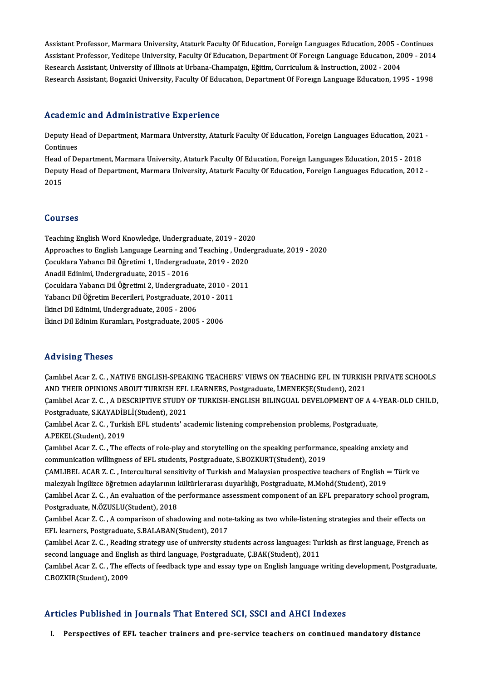Assistant Professor, Marmara University, Ataturk Faculty Of Education, Foreign Languages Education, 2005 - Continues<br>Assistant Professor, Veditone University, Ataturk Faculty Of Education, Foreign Languages Education, 2006 Assistant Professor, Marmara University, Ataturk Faculty Of Education, Foreign Languages Education, 2005 - Continues<br>Assistant Professor, Yeditepe University, Faculty Of Education, Department Of Foreign Language Education, Assistant Professor, Marmara University, Ataturk Faculty Of Education, Foreign Languages Education, 2005 - (<br>Assistant Professor, Yeditepe University, Faculty Of Education, Department Of Foreign Language Education, 20<br>Rese Assistant Professor, Yeditepe University, Faculty Of Education, Department Of Foreign Language Education, 2009 - 2014<br>Research Assistant, University of Illinois at Urbana-Champaign, Eğitim, Curriculum & Instruction, 2002 -

#### Academic and Administrative Experience

Academic and Administrative Experience<br>Deputy Head of Department, Marmara University, Ataturk Faculty Of Education, Foreign Languages Education, 2021<br>Continues Neutrem<br>Deputy He<br>Continues<br>Head of De Deputy Head of Department, Marmara University, Ataturk Faculty Of Education, Foreign Languages Education, 2021<br>Continues<br>Head of Department, Marmara University, Ataturk Faculty Of Education, Foreign Languages Education, 20

Continues<br>Head of Department, Marmara University, Ataturk Faculty Of Education, Foreign Languages Education, 2015 - 2018<br>Deputy Head of Department, Marmara University, Ataturk Faculty Of Education, Foreign Languages Educat Head<br>Deput<br>2015 2015<br>Courses

**Courses<br>Teaching English Word Knowledge, Undergraduate, 2019 - 2020<br>Annreashes to English Language Learning and Teaching, Underg** Approaches to English Language Learning andTeaching ,Undergraduate,2019 -2020 Teaching English Word Knowledge, Undergraduate, 2019 - 202<br>Approaches to English Language Learning and Teaching , Unde<br>Çocuklara Yabancı Dil Öğretimi 1, Undergraduate, 2019 - 2020<br>Anadil Edinimi Undergraduate, 2015 - 2016 Approaches to English Language Learning ar<br>Çocuklara Yabancı Dil Öğretimi 1, Undergrad<br>Anadil Edinimi, Undergraduate, 2015 - 2016<br>Cosuklara Yabancı Dil Öğretimi 2, Undergrad Çocuklara Yabancı Dil Öğretimi 1, Undergraduate, 2019 - 2020<br>Anadil Edinimi, Undergraduate, 2015 - 2016<br>Çocuklara Yabancı Dil Öğretimi 2, Undergraduate, 2010 - 2011<br>Yabancı Dil Öğretim Bosorileri, Bostaraduate, 2010 - 2011 Anadil Edinimi, Undergraduate, 2015 - 2016<br>Çocuklara Yabancı Dil Öğretimi 2, Undergraduate, 2010 - 2<br>Yabancı Dil Öğretim Becerileri, Postgraduate, 2010 - 2011<br>İkinci Dil Edinimi, Undergraduate, 2005 - 2006 Çocuklara Yabancı Dil Öğretimi 2, Undergradua<br>Yabancı Dil Öğretim Becerileri, Postgraduate, 21<br>İkinci Dil Edinimi, Undergraduate, 2005 - 2006<br>İkinci Dil Edinim Kuramları, Postgraduate, 2006 Yabancı Dil Öğretim Becerileri, Postgraduate, 2010 - 2011<br>İkinci Dil Edinimi, Undergraduate, 2005 - 2006<br>İkinci Dil Edinim Kuramları, Postgraduate, 2005 - 2006

### Advising Theses

Advising Theses<br>Çamlıbel Acar Z. C. , NATIVE ENGLISH-SPEAKING TEACHERS' VIEWS ON TEACHING EFL IN TURKISH PRIVATE SCHOOLS<br>AND THEIR OPINIONS AROUT TURKISH EFL LEARNERS Rostgraduate İMENEKSE(Student), 2021 -<br>Camlıbel Acar Z. C. , NATIVE ENGLISH-SPEAKING TEACHERS' VIEWS ON TEACHING EFL IN TURKISI)<br>AND THEIR OPINIONS ABOUT TURKISH EFL LEARNERS, Postgraduate, İ.MENEKŞE(Student), 2021<br>Camlıbel Acar Z. C. A DESCRIPTIVE STUDY OF T Çamlıbel Acar Z. C. , NATIVE ENGLISH-SPEAKING TEACHERS' VIEWS ON TEACHING EFL IN TURKISH PRIVATE SCHOOLS<br>AND THEIR OPINIONS ABOUT TURKISH EFL LEARNERS, Postgraduate, İ.MENEKŞE(Student), 2021<br>Çamlıbel Acar Z. C. , A DESCRIP AND THEIR OPINIONS ABOUT TURKISH EFL<br>Çamlıbel Acar Z. C. , A DESCRIPTIVE STUDY (<br>Postgraduate, S.KAYADİBLİ(Student), 2021<br>Camlıbel Asar Z. C. Turkish EEL studentslas Camlıbel Acar Z. C. , A DESCRIPTIVE STUDY OF TURKISH-ENGLISH BILINGUAL DEVELOPMENT OF A 4-<br>Postgraduate, S.KAYADİBLİ(Student), 2021<br>Camlıbel Acar Z. C. , Turkish EFL students' academic listening comprehension problems, Pos Postgraduate, S.KAYADİBLİ(Student), 2021<br>Çamlıbel Acar Z. C. , Turkish EFL students' academic listening comprehension problems, Postgraduate,<br>A.PEKEL(Student), 2019 Camlıbel Acar Z. C. , Turkish EFL students' academic listening comprehension problems, Postgraduate,<br>A.PEKEL(Student), 2019<br>Camlıbel Acar Z. C. , The effects of role-play and storytelling on the speaking performance, speak A.PEKEL(Student), 2019<br>Çamlıbel Acar Z. C. , The effects of role-play and storytelling on the speaking performan<br>communication willingness of EFL students, Postgraduate, S.BOZKURT(Student), 2019<br>CAMLIPEL ACAR Z. G. Intergu Çamlıbel Acar Z. C. , The effects of role-play and storytelling on the speaking performance, speaking anxiety and<br>communication willingness of EFL students, Postgraduate, S.BOZKURT(Student), 2019<br>ÇAMLIBEL ACAR Z. C. , Inte communication willingness of EFL students, Postgraduate, S.BOZKURT(Student), 2019<br>ÇAMLIBEL ACAR Z. C. , Intercultural sensitivity of Turkish and Malaysian prospective teachers of English =<br>malezyalı İngilizce öğretmen aday ÇAMLIBEL ACAR Z. C. , Intercultural sensitivity of Turkish and Malaysian prospective teachers of English = Türk ve<br>malezyalı İngilizce öğretmen adaylarının kültürlerarası duyarlılığı, Postgraduate, M.Mohd(Student), 2019<br>Ça malezyalı İngilizce öğretmen adaylarının kültürlerarası duyarlılığı, Postgraduate, M.Mohd(Student), 2019<br>Çamlıbel Acar Z. C. , An evaluation of the performance assessment component of an EFL preparatory sch<br>Postgraduate, N Çamlıbel Acar Z. C. , An evaluation of the performance assessment component of an EFL preparatory school program,<br>Postgraduate, N.ÖZUSLU(Student), 2018<br>Çamlıbel Acar Z. C. , A comparison of shadowing and note-taking as two Camlibel Acar Z. C., A comparison of shadowing and note-taking as two while-listening strategies and their effects on Camlıbel Acar Z. C. , A comparison of shadowing and note-taking as two while-listening strategies and their effects on<br>EFL learners, Postgraduate, S.BALABAN(Student), 2017<br>Camlıbel Acar Z. C. , Reading strategy use of univ EFL learners, Postgraduate, S.BALABAN(Student), 2017<br>Çamlıbel Acar Z. C. , Reading strategy use of university students across languages: Tu:<br>second language and English as third language, Postgraduate, Ç.BAK(Student), 2011 Camlıbel Acar Z. C. , Reading strategy use of university students across languages: Turkish as first language, French as<br>second language and English as third language, Postgraduate, C.BAK(Student), 2011<br>C.BOZKIR(Student), second language and English as third language, Postgraduate, Ç.BAK(Student), 2011<br>Çamlıbel Acar Z. C. , The effects of feedback type and essay type on English language writing development, Postgraduate,<br>C.BOZKIR(Student),

### Articles Published in Journals That Entered SCI, SSCI and AHCI Indexes

I. Perspectives of EFL teacher trainers and pre-service teachers on continued mandatory distance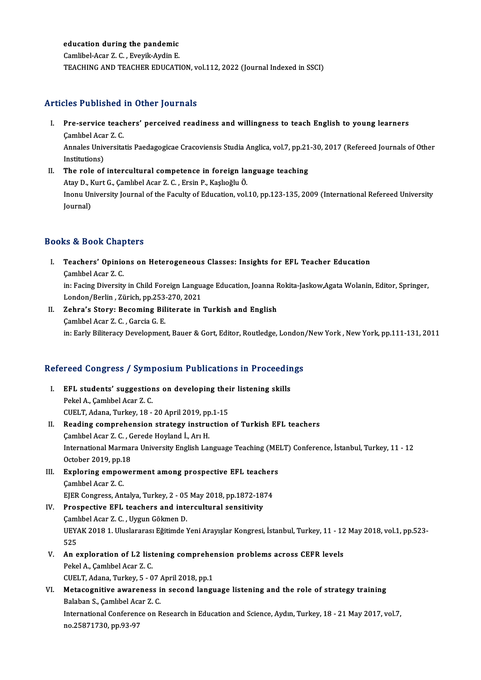#### education during the pandemic

Camlibel-Acar Z.C. ,Eveyik-AydinE. TEACHING AND TEACHER EDUCATION, vol.112, 2022 (Journal Indexed in SSCI)

#### Articles Published in Other Journals

- rticles Published in Other Journals<br>I. Pre-service teachers' perceived readiness and willingness to teach English to young learners<br>Cambbel Acer 7 C Pre-service teach<br>Camlıbel Acar Z.C.<br>Annalas Universite Pre-service teachers' perceived readiness and willingness to teach English to young learners<br>Çamlıbel Acar Z. C.<br>Annales Universitatis Paedagogicae Cracoviensis Studia Anglica, vol.7, pp.21-30, 2017 (Refereed Journals of O Çamlıbel Acar Z. C.<br>Annales Universitatis Paedagogicae Cracoviensis Studia Anglica, vol.7, pp.21-30, 2017 (Refereed Journals of Other<br>Institutions) Annales Universitatis Paedagogicae Cracoviensis Studia Anglica, vol.7, pp.21<br>Institutions)<br>II. The role of intercultural competence in foreign language teaching<br>Atou D. Kurt C. Cambbel Agar 7. C. Exain B. Kashağlu Ö.
- Institutions)<br>The role of intercultural competence in foreign la<br>Atay D., Kurt G., Çamlıbel Acar Z. C. , Ersin P., Kaşlıoğlu Ö.<br>Inony University Jeurnal of the Easylty of Education vol. Inonu University Journal of the Faculty of Education, vol.10, pp.123-135, 2009 (International Refereed University Journal) Atay D., Kurt G., Camlıbel Acar Z. C., Ersin P., Kaşlıoğlu Ö.

### Books&Book Chapters

- ooks & Book Chapters<br>I. Teachers' Opinions on Heterogeneous Classes: Insights for EFL Teacher Education<br>Cambbel Acar 7 C re di Book Ghap<br>Teachers' Opinio<br>Camlıbel Acar Z.C.<br>in: Facing Diversit. Teachers' Opinions on Heterogeneous Classes: Insights for EFL Teacher Education<br>Çamlıbel Acar Z. C.<br>in: Facing Diversity in Child Foreign Language Education, Joanna Rokita-Jaskow,Agata Wolanin, Editor, Springer,<br>Landan (Ba Camlıbel Acar Z. C.<br>in: Facing Diversity in Child Foreign Langua<br>London/Berlin , Zürich, pp.253-270, 2021<br>Zehna's Storyy Bosoming Billisante in London/Berlin, Zürich, pp.253-270, 2021
- II. Zehra's Story: Becoming Biliterate in Turkish and English Camlubel Acar Z. C., Garcia G. E. in: Early Biliteracy Development, Bauer & Gort, Editor, Routledge, London/New York, New York, pp.111-131, 2011

# m: Early Billieracy Development, Bauer & Gort, Editor, Routledge, London<br>Refereed Congress / Symposium Publications in Proceedings

- efereed Congress / Symposium Publications in Proceedin<br>I. EFL students' suggestions on developing their listening skills<br>Rekel A. Cembbel Agen 7. C Pekel A., Çamlıbel Acar Z.C.<br>Pekel A., Çamlıbel Acar Z.C.<br>CUELT Adapa Turkev 18 EFL students' suggestions on developing thei<br>Pekel A., Çamlıbel Acar Z. C.<br>CUELT, Adana, Turkey, 18 - 20 April 2019, pp.1-15<br>Reading comprehension strategy instruction Pekel A., Çamlıbel Acar Z. C.<br>CUELT, Adana, Turkey, 18 - 20 April 2019, pp.1-15<br>II. Reading comprehension strategy instruction of Turkish EFL teachers CUELT, Adana, Turkey, 18 - 20 April 2019, pp<br>Reading comprehension strategy instru<br>Camlıbel Acar Z. C. , Gerede Hoyland İ., Arı H.<br>International Marmara University English Lat
- International Marmara University English Language Teaching (MELT) Conference, İstanbul, Turkey, 11 12<br>October 2019, pp.18 Camlıbel Acar Z. C. , G.<br>International Marmaı<br>October 2019, pp.18<br>Exploring emperue International Marmara University English Language Teaching (ME<br>October 2019, pp.18<br>III. Exploring empowerment among prospective EFL teachers<br>Cambbal Acar 7.6
- October 2019, pp.1<br>**Exploring empov**<br>Camlıbel Acar Z.C.<br>EIER Congress Art Exploring empowerment among prospective EFL teacher<br>Camlibel Acar Z. C.<br>EJER Congress, Antalya, Turkey, 2 - 05 May 2018, pp.1872-1874<br>Prospective EEL teachers and intersultural sensitivity.
- Camlibel Acar Z. C.<br>
EJER Congress, Antalya, Turkey, 2 05 May 2018, pp.1872-18<br>
IV. Prospective EFL teachers and intercultural sensitivity<br>
Camlibel Acar Z. C. Uygun Cölmon D. EJER Congress, Antalya, Turkey, 2 - 05<br>Prospective EFL teachers and inte<br>Camlıbel Acar Z. C. , Uygun Gökmen D.<br>UEVAK 2018 1 Uluslarares: Eğitimde N Prospective EFL teachers and intercultural sensitivity<br>Çamlıbel Acar Z. C. , Uygun Gökmen D.<br>UEYAK 2018 1. Uluslararası Eğitimde Yeni Arayışlar Kongresi, İstanbul, Turkey, 11 - 12 May 2018, vol.1, pp.523-<br>525 Caml<br>UEY<br>525<br>An e UEYAK 2018 1. Uluslararası Eğitimde Yeni Arayışlar Kongresi, İstanbul, Turkey, 11 - 12<br>525<br>V. An exploration of L2 listening comprehension problems across CEFR levels<br>Rekal A Cambbal Agar 7 C
- 525<br>V. An exploration of L2 listening comprehension problems across CEFR levels<br>Pekel A., Çamlıbel Acar Z. C. CUELT, Adana, Turkey, 5 - 07 April 2018, pp.1 Pekel A., Çamlıbel Acar Z. C.<br>CUELT, Adana, Turkey, 5 - 07 April 2018, pp.1<br>VI. Metacognitive awareness in second language listening and the role of strategy training<br>Pelaban S. Camlibal Acar Z. C
- CUELT, Adana, Turkey, 5 07 *I*<br>Metacognitive awareness i<br>Balaban S., Çamlıbel Acar Z. C.<br>International Conference on B Metacognitive awareness in second language listening and the role of strategy training<br>Balaban S., Çamlıbel Acar Z. C.<br>International Conference on Research in Education and Science, Aydın, Turkey, 18 - 21 May 2017, vol.7,<br> Balaban S., Çamlıbel Aca<br>International Conferen<br>no.25871730, pp.93-97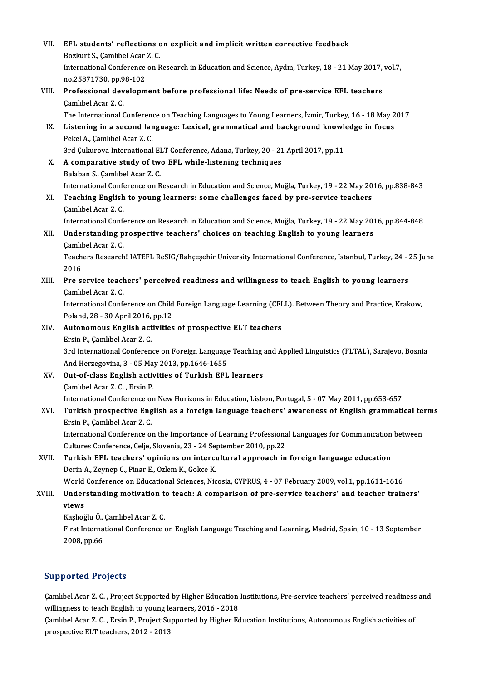| VII.   | EFL students' reflections on explicit and implicit written corrective feedback<br>Bozkurt S., Çamlıbel Acar Z. C.                                                                                                                |
|--------|----------------------------------------------------------------------------------------------------------------------------------------------------------------------------------------------------------------------------------|
|        | International Conference on Research in Education and Science, Aydın, Turkey, 18 - 21 May 2017, vol.7,<br>no.25871730, pp.98-102                                                                                                 |
| VIII.  | Professional development before professional life: Needs of pre-service EFL teachers<br>Çamlıbel Acar Z. C.                                                                                                                      |
| IX.    | The International Conference on Teaching Languages to Young Learners, İzmir, Turkey, 16 - 18 May 2017<br>Listening in a second language: Lexical, grammatical and background knowledge in focus<br>Pekel A., Çamlıbel Acar Z. C. |
| X.     | 3rd Çukurova International ELT Conference, Adana, Turkey, 20 - 21 April 2017, pp.11<br>A comparative study of two EFL while-listening techniques                                                                                 |
|        | Balaban S., Çamlıbel Acar Z. C.<br>International Conference on Research in Education and Science, Muğla, Turkey, 19 - 22 May 2016, pp.838-843                                                                                    |
| XI.    | Teaching English to young learners: some challenges faced by pre-service teachers<br>Çamlıbel Acar Z.C.                                                                                                                          |
| XII.   | International Conference on Research in Education and Science, Muğla, Turkey, 19 - 22 May 2016, pp.844-848<br>Understanding prospective teachers' choices on teaching English to young learners                                  |
|        | Çamlıbel Acar Z.C.<br>Teachers Research! IATEFL ReSIG/Bahçeşehir University International Conference, İstanbul, Turkey, 24 - 25 June<br>2016                                                                                     |
| XIII.  | Pre service teachers' perceived readiness and willingness to teach English to young learners<br>Çamlıbel Acar Z.C.                                                                                                               |
|        | International Conference on Child Foreign Language Learning (CFLL). Between Theory and Practice, Krakow,<br>Poland, 28 - 30 April 2016, pp 12                                                                                    |
| XIV.   | Autonomous English activities of prospective ELT teachers<br>Ersin P., Çamlıbel Acar Z. C.                                                                                                                                       |
|        | 3rd International Conference on Foreign Language Teaching and Applied Linguistics (FLTAL), Sarajevo, Bosnia<br>And Herzegovina, 3 - 05 May 2013, pp.1646-1655                                                                    |
| XV.    | Out-of-class English activities of Turkish EFL learners<br>Camlibel Acar Z. C., Ersin P.                                                                                                                                         |
| XVI.   | International Conference on New Horizons in Education, Lisbon, Portugal, 5 - 07 May 2011, pp.653-657<br>Turkish prospective English as a foreign language teachers' awareness of English grammatical terms                       |
|        | Ersin P., Çamlıbel Acar Z. C.<br>International Conference on the Importance of Learning Professional Languages for Communication between<br>Cultures Conference, Celje, Slovenia, 23 - 24 September 2010, pp.22                  |
| XVII.  | Turkish EFL teachers' opinions on intercultural approach in foreign language education<br>Derin A., Zeynep C., Pinar E., Ozlem K., Gokce K.                                                                                      |
| XVIII. | World Conference on Educational Sciences, Nicosia, CYPRUS, 4 - 07 February 2009, vol.1, pp.1611-1616<br>Understanding motivation to teach: A comparison of pre-service teachers' and teacher trainers'                           |
|        | views                                                                                                                                                                                                                            |
|        | Kaşlıoğlu Ö., Çamlıbel Acar Z. C.<br>First International Conference on English Language Teaching and Learning, Madrid, Spain, 10 - 13 September                                                                                  |
|        | 2008, pp.66                                                                                                                                                                                                                      |

### Supported Projects

Supported Projects<br>Çamlıbel Acar Z. C. , Project Supported by Higher Education Institutions, Pre-service teachers' perceived readiness and<br>villingness to teach English to voung learners, 2016, 2019 Eupported Trojects<br>Camlibel Acar Z. C. , Project Supported by Higher Education<br>Willingness to teach English to young learners, 2016 - 2018 Çamlıbel Acar Z. C. , Project Supported by Higher Education Institutions, Pre-service teachers' perceived readiness<br>willingness to teach English to young learners, 2016 - 2018<br>Çamlıbel Acar Z. C. , Ersin P., Project Suppor

willingness to teach English to young learners, 2016 - 2018<br>Camlibel Acar Z. C. , Ersin P., Project Supported by Higher Education Institutions, Autonomous English activities of<br>prospective ELT teachers, 2012 - 2013